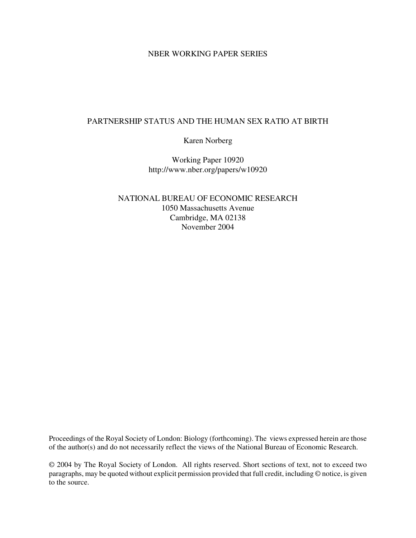## NBER WORKING PAPER SERIES

## PARTNERSHIP STATUS AND THE HUMAN SEX RATIO AT BIRTH

Karen Norberg

Working Paper 10920 http://www.nber.org/papers/w10920

NATIONAL BUREAU OF ECONOMIC RESEARCH 1050 Massachusetts Avenue Cambridge, MA 02138 November 2004

Proceedings of the Royal Society of London: Biology (forthcoming). The views expressed herein are those of the author(s) and do not necessarily reflect the views of the National Bureau of Economic Research.

© 2004 by The Royal Society of London. All rights reserved. Short sections of text, not to exceed two paragraphs, may be quoted without explicit permission provided that full credit, including © notice, is given to the source.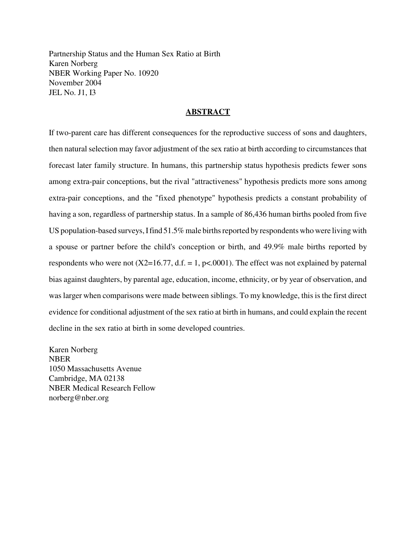Partnership Status and the Human Sex Ratio at Birth Karen Norberg NBER Working Paper No. 10920 November 2004 JEL No. J1, I3

## **ABSTRACT**

If two-parent care has different consequences for the reproductive success of sons and daughters, then natural selection may favor adjustment of the sex ratio at birth according to circumstances that forecast later family structure. In humans, this partnership status hypothesis predicts fewer sons among extra-pair conceptions, but the rival "attractiveness" hypothesis predicts more sons among extra-pair conceptions, and the "fixed phenotype" hypothesis predicts a constant probability of having a son, regardless of partnership status. In a sample of 86,436 human births pooled from five US population-based surveys, I find 51.5% male births reported by respondents who were living with a spouse or partner before the child's conception or birth, and 49.9% male births reported by respondents who were not  $(X2=16.77, d.f. = 1, p<0.001)$ . The effect was not explained by paternal bias against daughters, by parental age, education, income, ethnicity, or by year of observation, and waslarger when comparisons were made between siblings. To my knowledge, this is the first direct evidence for conditional adjustment of the sex ratio at birth in humans, and could explain the recent decline in the sex ratio at birth in some developed countries.

Karen Norberg NBER 1050 Massachusetts Avenue Cambridge, MA 02138 NBER Medical Research Fellow norberg@nber.org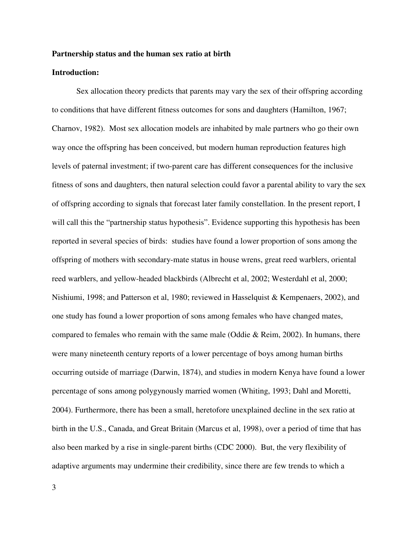#### **Partnership status and the human sex ratio at birth**

### **Introduction:**

Sex allocation theory predicts that parents may vary the sex of their offspring according to conditions that have different fitness outcomes for sons and daughters (Hamilton, 1967; Charnov, 1982). Most sex allocation models are inhabited by male partners who go their own way once the offspring has been conceived, but modern human reproduction features high levels of paternal investment; if two-parent care has different consequences for the inclusive fitness of sons and daughters, then natural selection could favor a parental ability to vary the sex of offspring according to signals that forecast later family constellation. In the present report, I will call this the "partnership status hypothesis". Evidence supporting this hypothesis has been reported in several species of birds: studies have found a lower proportion of sons among the offspring of mothers with secondary-mate status in house wrens, great reed warblers, oriental reed warblers, and yellow-headed blackbirds (Albrecht et al, 2002; Westerdahl et al, 2000; Nishiumi, 1998; and Patterson et al, 1980; reviewed in Hasselquist & Kempenaers, 2002), and one study has found a lower proportion of sons among females who have changed mates, compared to females who remain with the same male (Oddie  $\&$  Reim, 2002). In humans, there were many nineteenth century reports of a lower percentage of boys among human births occurring outside of marriage (Darwin, 1874), and studies in modern Kenya have found a lower percentage of sons among polygynously married women (Whiting, 1993; Dahl and Moretti, 2004). Furthermore, there has been a small, heretofore unexplained decline in the sex ratio at birth in the U.S., Canada, and Great Britain (Marcus et al, 1998), over a period of time that has also been marked by a rise in single-parent births (CDC 2000). But, the very flexibility of adaptive arguments may undermine their credibility, since there are few trends to which a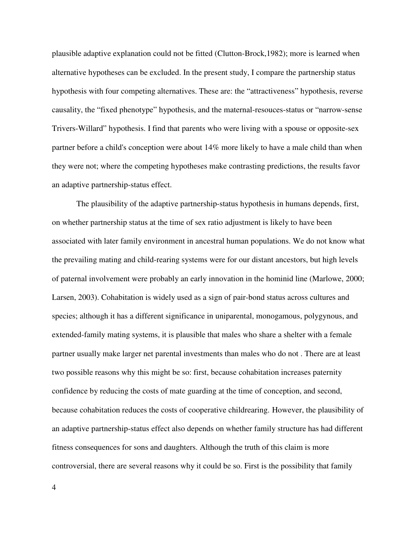plausible adaptive explanation could not be fitted (Clutton-Brock,1982); more is learned when alternative hypotheses can be excluded. In the present study, I compare the partnership status hypothesis with four competing alternatives. These are: the "attractiveness" hypothesis, reverse causality, the "fixed phenotype" hypothesis, and the maternal-resouces-status or "narrow-sense Trivers-Willard" hypothesis. I find that parents who were living with a spouse or opposite-sex partner before a child's conception were about 14% more likely to have a male child than when they were not; where the competing hypotheses make contrasting predictions, the results favor an adaptive partnership-status effect.

The plausibility of the adaptive partnership-status hypothesis in humans depends, first, on whether partnership status at the time of sex ratio adjustment is likely to have been associated with later family environment in ancestral human populations. We do not know what the prevailing mating and child-rearing systems were for our distant ancestors, but high levels of paternal involvement were probably an early innovation in the hominid line (Marlowe, 2000; Larsen, 2003). Cohabitation is widely used as a sign of pair-bond status across cultures and species; although it has a different significance in uniparental, monogamous, polygynous, and extended-family mating systems, it is plausible that males who share a shelter with a female partner usually make larger net parental investments than males who do not . There are at least two possible reasons why this might be so: first, because cohabitation increases paternity confidence by reducing the costs of mate guarding at the time of conception, and second, because cohabitation reduces the costs of cooperative childrearing. However, the plausibility of an adaptive partnership-status effect also depends on whether family structure has had different fitness consequences for sons and daughters. Although the truth of this claim is more controversial, there are several reasons why it could be so. First is the possibility that family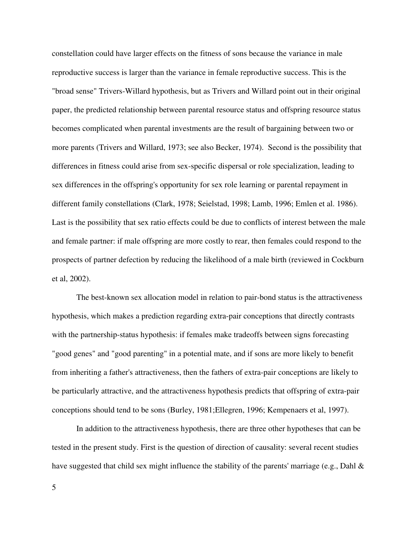constellation could have larger effects on the fitness of sons because the variance in male reproductive success is larger than the variance in female reproductive success. This is the "broad sense" Trivers-Willard hypothesis, but as Trivers and Willard point out in their original paper, the predicted relationship between parental resource status and offspring resource status becomes complicated when parental investments are the result of bargaining between two or more parents (Trivers and Willard, 1973; see also Becker, 1974). Second is the possibility that differences in fitness could arise from sex-specific dispersal or role specialization, leading to sex differences in the offspring's opportunity for sex role learning or parental repayment in different family constellations (Clark, 1978; Seielstad, 1998; Lamb, 1996; Emlen et al. 1986). Last is the possibility that sex ratio effects could be due to conflicts of interest between the male and female partner: if male offspring are more costly to rear, then females could respond to the prospects of partner defection by reducing the likelihood of a male birth (reviewed in Cockburn et al, 2002).

The best-known sex allocation model in relation to pair-bond status is the attractiveness hypothesis, which makes a prediction regarding extra-pair conceptions that directly contrasts with the partnership-status hypothesis: if females make tradeoffs between signs forecasting "good genes" and "good parenting" in a potential mate, and if sons are more likely to benefit from inheriting a father's attractiveness, then the fathers of extra-pair conceptions are likely to be particularly attractive, and the attractiveness hypothesis predicts that offspring of extra-pair conceptions should tend to be sons (Burley, 1981;Ellegren, 1996; Kempenaers et al, 1997).

In addition to the attractiveness hypothesis, there are three other hypotheses that can be tested in the present study. First is the question of direction of causality: several recent studies have suggested that child sex might influence the stability of the parents' marriage (e.g., Dahl &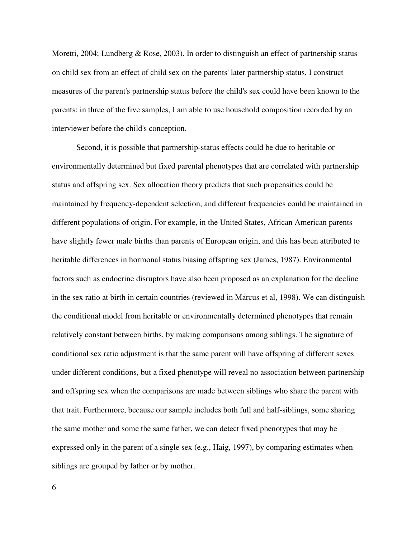Moretti, 2004; Lundberg & Rose, 2003). In order to distinguish an effect of partnership status on child sex from an effect of child sex on the parents' later partnership status, I construct measures of the parent's partnership status before the child's sex could have been known to the parents; in three of the five samples, I am able to use household composition recorded by an interviewer before the child's conception.

Second, it is possible that partnership-status effects could be due to heritable or environmentally determined but fixed parental phenotypes that are correlated with partnership status and offspring sex. Sex allocation theory predicts that such propensities could be maintained by frequency-dependent selection, and different frequencies could be maintained in different populations of origin. For example, in the United States, African American parents have slightly fewer male births than parents of European origin, and this has been attributed to heritable differences in hormonal status biasing offspring sex (James, 1987). Environmental factors such as endocrine disruptors have also been proposed as an explanation for the decline in the sex ratio at birth in certain countries (reviewed in Marcus et al, 1998). We can distinguish the conditional model from heritable or environmentally determined phenotypes that remain relatively constant between births, by making comparisons among siblings. The signature of conditional sex ratio adjustment is that the same parent will have offspring of different sexes under different conditions, but a fixed phenotype will reveal no association between partnership and offspring sex when the comparisons are made between siblings who share the parent with that trait. Furthermore, because our sample includes both full and half-siblings, some sharing the same mother and some the same father, we can detect fixed phenotypes that may be expressed only in the parent of a single sex (e.g., Haig, 1997), by comparing estimates when siblings are grouped by father or by mother.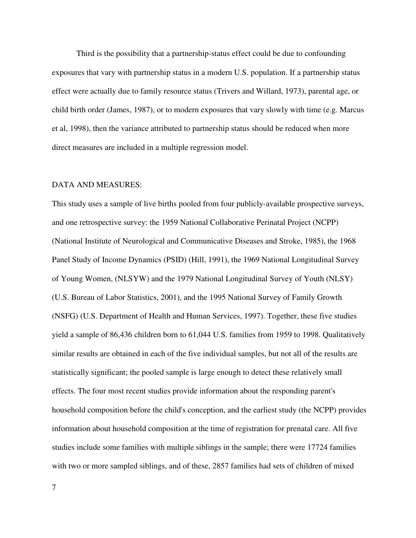Third is the possibility that a partnership-status effect could be due to confounding exposures that vary with partnership status in a modern U.S. population. If a partnership status effect were actually due to family resource status (Trivers and Willard, 1973), parental age, or child birth order (James, 1987), or to modern exposures that vary slowly with time (e.g. Marcus et al, 1998), then the variance attributed to partnership status should be reduced when more direct measures are included in a multiple regression model.

#### DATA AND MEASURES:

This study uses a sample of live births pooled from four publicly-available prospective surveys, and one retrospective survey: the 1959 National Collaborative Perinatal Project (NCPP) (National Institute of Neurological and Communicative Diseases and Stroke, 1985), the 1968 Panel Study of Income Dynamics (PSID) (Hill, 1991), the 1969 National Longitudinal Survey of Young Women, (NLSYW) and the 1979 National Longitudinal Survey of Youth (NLSY) (U.S. Bureau of Labor Statistics, 2001), and the 1995 National Survey of Family Growth (NSFG) (U.S. Department of Health and Human Services, 1997). Together, these five studies yield a sample of 86,436 children born to 61,044 U.S. families from 1959 to 1998. Qualitatively similar results are obtained in each of the five individual samples, but not all of the results are statistically significant; the pooled sample is large enough to detect these relatively small effects. The four most recent studies provide information about the responding parent's household composition before the child's conception, and the earliest study (the NCPP) provides information about household composition at the time of registration for prenatal care. All five studies include some families with multiple siblings in the sample; there were 17724 families with two or more sampled siblings, and of these, 2857 families had sets of children of mixed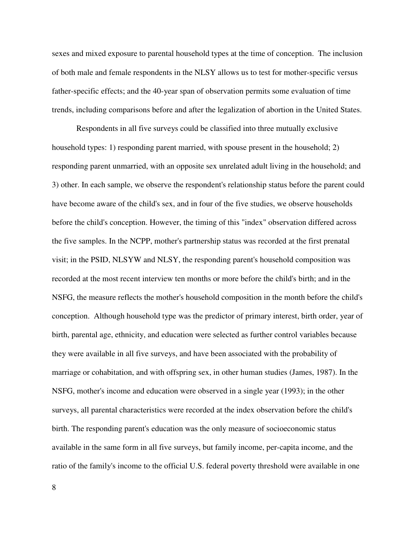sexes and mixed exposure to parental household types at the time of conception. The inclusion of both male and female respondents in the NLSY allows us to test for mother-specific versus father-specific effects; and the 40-year span of observation permits some evaluation of time trends, including comparisons before and after the legalization of abortion in the United States.

Respondents in all five surveys could be classified into three mutually exclusive household types: 1) responding parent married, with spouse present in the household; 2) responding parent unmarried, with an opposite sex unrelated adult living in the household; and 3) other. In each sample, we observe the respondent's relationship status before the parent could have become aware of the child's sex, and in four of the five studies, we observe households before the child's conception. However, the timing of this "index" observation differed across the five samples. In the NCPP, mother's partnership status was recorded at the first prenatal visit; in the PSID, NLSYW and NLSY, the responding parent's household composition was recorded at the most recent interview ten months or more before the child's birth; and in the NSFG, the measure reflects the mother's household composition in the month before the child's conception. Although household type was the predictor of primary interest, birth order, year of birth, parental age, ethnicity, and education were selected as further control variables because they were available in all five surveys, and have been associated with the probability of marriage or cohabitation, and with offspring sex, in other human studies (James, 1987). In the NSFG, mother's income and education were observed in a single year (1993); in the other surveys, all parental characteristics were recorded at the index observation before the child's birth. The responding parent's education was the only measure of socioeconomic status available in the same form in all five surveys, but family income, per-capita income, and the ratio of the family's income to the official U.S. federal poverty threshold were available in one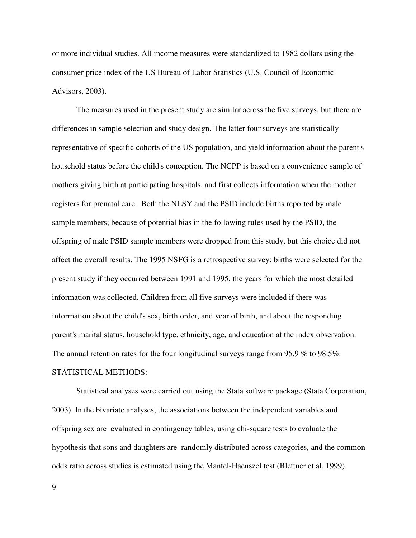or more individual studies. All income measures were standardized to 1982 dollars using the consumer price index of the US Bureau of Labor Statistics (U.S. Council of Economic Advisors, 2003).

The measures used in the present study are similar across the five surveys, but there are differences in sample selection and study design. The latter four surveys are statistically representative of specific cohorts of the US population, and yield information about the parent's household status before the child's conception. The NCPP is based on a convenience sample of mothers giving birth at participating hospitals, and first collects information when the mother registers for prenatal care. Both the NLSY and the PSID include births reported by male sample members; because of potential bias in the following rules used by the PSID, the offspring of male PSID sample members were dropped from this study, but this choice did not affect the overall results. The 1995 NSFG is a retrospective survey; births were selected for the present study if they occurred between 1991 and 1995, the years for which the most detailed information was collected. Children from all five surveys were included if there was information about the child's sex, birth order, and year of birth, and about the responding parent's marital status, household type, ethnicity, age, and education at the index observation. The annual retention rates for the four longitudinal surveys range from 95.9 % to 98.5%.

## STATISTICAL METHODS:

Statistical analyses were carried out using the Stata software package (Stata Corporation, 2003). In the bivariate analyses, the associations between the independent variables and offspring sex are evaluated in contingency tables, using chi-square tests to evaluate the hypothesis that sons and daughters are randomly distributed across categories, and the common odds ratio across studies is estimated using the Mantel-Haenszel test (Blettner et al, 1999).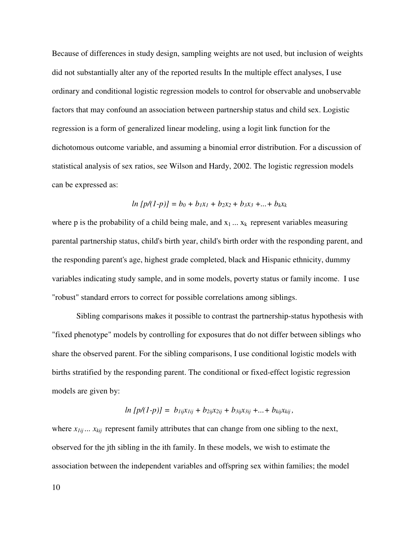Because of differences in study design, sampling weights are not used, but inclusion of weights did not substantially alter any of the reported results In the multiple effect analyses, I use ordinary and conditional logistic regression models to control for observable and unobservable factors that may confound an association between partnership status and child sex. Logistic regression is a form of generalized linear modeling, using a logit link function for the dichotomous outcome variable, and assuming a binomial error distribution. For a discussion of statistical analysis of sex ratios, see Wilson and Hardy, 2002. The logistic regression models can be expressed as:

$$
ln [p/(1-p)] = b_0 + b_1x_1 + b_2x_2 + b_3x_3 + ... + b_kx_k
$$

where p is the probability of a child being male, and  $x_1 \ldots x_k$  represent variables measuring parental partnership status, child's birth year, child's birth order with the responding parent, and the responding parent's age, highest grade completed, black and Hispanic ethnicity, dummy variables indicating study sample, and in some models, poverty status or family income. I use "robust" standard errors to correct for possible correlations among siblings.

Sibling comparisons makes it possible to contrast the partnership-status hypothesis with "fixed phenotype" models by controlling for exposures that do not differ between siblings who share the observed parent. For the sibling comparisons, I use conditional logistic models with births stratified by the responding parent. The conditional or fixed-effect logistic regression models are given by:

$$
ln [p/(1-p)] = b_{Iij}x_{Iij} + b_{2ij}x_{2ij} + b_{3ij}x_{3ij} + ... + b_{kij}x_{kij},
$$

where  $x_{1ij}$ ...  $x_{kij}$  represent family attributes that can change from one sibling to the next, observed for the jth sibling in the ith family. In these models, we wish to estimate the association between the independent variables and offspring sex within families; the model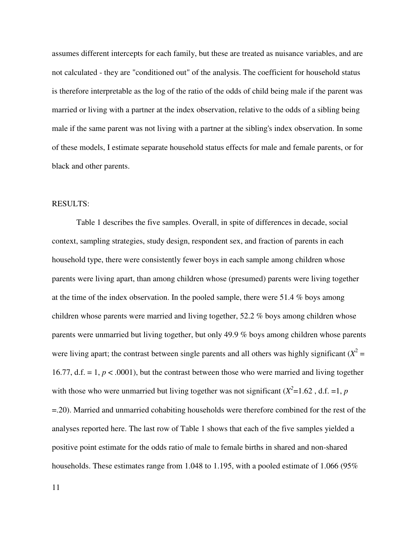assumes different intercepts for each family, but these are treated as nuisance variables, and are not calculated - they are "conditioned out" of the analysis. The coefficient for household status is therefore interpretable as the log of the ratio of the odds of child being male if the parent was married or living with a partner at the index observation, relative to the odds of a sibling being male if the same parent was not living with a partner at the sibling's index observation. In some of these models, I estimate separate household status effects for male and female parents, or for black and other parents.

#### RESULTS:

Table 1 describes the five samples. Overall, in spite of differences in decade, social context, sampling strategies, study design, respondent sex, and fraction of parents in each household type, there were consistently fewer boys in each sample among children whose parents were living apart, than among children whose (presumed) parents were living together at the time of the index observation. In the pooled sample, there were 51.4 % boys among children whose parents were married and living together, 52.2 % boys among children whose parents were unmarried but living together, but only 49.9 % boys among children whose parents were living apart; the contrast between single parents and all others was highly significant  $(X^2 =$ 16.77, d.f.  $= 1, p < .0001$ ), but the contrast between those who were married and living together with those who were unmarried but living together was not significant  $(X^2=1.62$ , d.f. =1, *p* =.20). Married and unmarried cohabiting households were therefore combined for the rest of the analyses reported here. The last row of Table 1 shows that each of the five samples yielded a positive point estimate for the odds ratio of male to female births in shared and non-shared households. These estimates range from 1.048 to 1.195, with a pooled estimate of 1.066 (95%)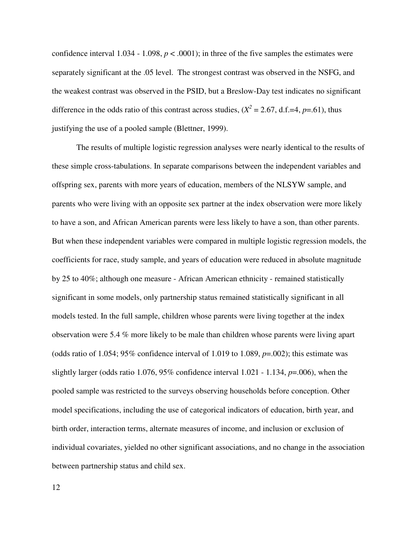confidence interval  $1.034 - 1.098$ ,  $p < .0001$ ); in three of the five samples the estimates were separately significant at the .05 level. The strongest contrast was observed in the NSFG, and the weakest contrast was observed in the PSID, but a Breslow-Day test indicates no significant difference in the odds ratio of this contrast across studies,  $(X^2 = 2.67, d.f.=4, p=.61)$ , thus justifying the use of a pooled sample (Blettner, 1999).

The results of multiple logistic regression analyses were nearly identical to the results of these simple cross-tabulations. In separate comparisons between the independent variables and offspring sex, parents with more years of education, members of the NLSYW sample, and parents who were living with an opposite sex partner at the index observation were more likely to have a son, and African American parents were less likely to have a son, than other parents. But when these independent variables were compared in multiple logistic regression models, the coefficients for race, study sample, and years of education were reduced in absolute magnitude by 25 to 40%; although one measure - African American ethnicity - remained statistically significant in some models, only partnership status remained statistically significant in all models tested. In the full sample, children whose parents were living together at the index observation were 5.4 % more likely to be male than children whose parents were living apart (odds ratio of 1.054; 95% confidence interval of 1.019 to 1.089, *p*=.002); this estimate was slightly larger (odds ratio 1.076, 95% confidence interval 1.021 - 1.134, *p*=.006), when the pooled sample was restricted to the surveys observing households before conception. Other model specifications, including the use of categorical indicators of education, birth year, and birth order, interaction terms, alternate measures of income, and inclusion or exclusion of individual covariates, yielded no other significant associations, and no change in the association between partnership status and child sex.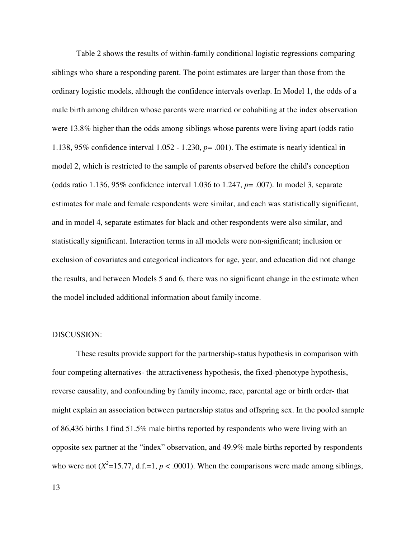Table 2 shows the results of within-family conditional logistic regressions comparing siblings who share a responding parent. The point estimates are larger than those from the ordinary logistic models, although the confidence intervals overlap. In Model 1, the odds of a male birth among children whose parents were married or cohabiting at the index observation were 13.8% higher than the odds among siblings whose parents were living apart (odds ratio 1.138, 95% confidence interval  $1.052 - 1.230$ ,  $p = .001$ ). The estimate is nearly identical in model 2, which is restricted to the sample of parents observed before the child's conception (odds ratio 1.136, 95% confidence interval 1.036 to 1.247, *p*= .007). In model 3, separate estimates for male and female respondents were similar, and each was statistically significant, and in model 4, separate estimates for black and other respondents were also similar, and statistically significant. Interaction terms in all models were non-significant; inclusion or exclusion of covariates and categorical indicators for age, year, and education did not change the results, and between Models 5 and 6, there was no significant change in the estimate when the model included additional information about family income.

### DISCUSSION:

These results provide support for the partnership-status hypothesis in comparison with four competing alternatives- the attractiveness hypothesis, the fixed-phenotype hypothesis, reverse causality, and confounding by family income, race, parental age or birth order- that might explain an association between partnership status and offspring sex. In the pooled sample of 86,436 births I find 51.5% male births reported by respondents who were living with an opposite sex partner at the "index" observation, and 49.9% male births reported by respondents who were not  $(X^2=15.77, d.f.=1, p < .0001)$ . When the comparisons were made among siblings,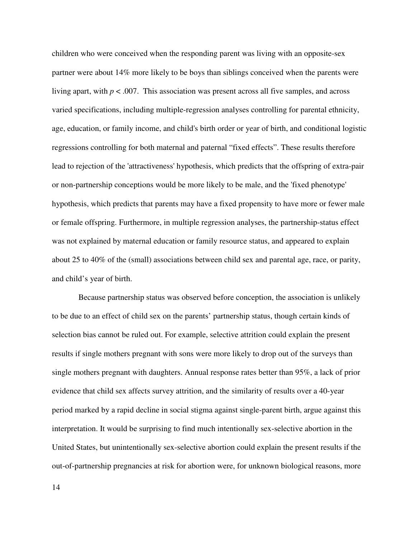children who were conceived when the responding parent was living with an opposite-sex partner were about 14% more likely to be boys than siblings conceived when the parents were living apart, with  $p < .007$ . This association was present across all five samples, and across varied specifications, including multiple-regression analyses controlling for parental ethnicity, age, education, or family income, and child's birth order or year of birth, and conditional logistic regressions controlling for both maternal and paternal "fixed effects". These results therefore lead to rejection of the 'attractiveness' hypothesis, which predicts that the offspring of extra-pair or non-partnership conceptions would be more likely to be male, and the 'fixed phenotype' hypothesis, which predicts that parents may have a fixed propensity to have more or fewer male or female offspring. Furthermore, in multiple regression analyses, the partnership-status effect was not explained by maternal education or family resource status, and appeared to explain about 25 to 40% of the (small) associations between child sex and parental age, race, or parity, and child's year of birth.

Because partnership status was observed before conception, the association is unlikely to be due to an effect of child sex on the parents' partnership status, though certain kinds of selection bias cannot be ruled out. For example, selective attrition could explain the present results if single mothers pregnant with sons were more likely to drop out of the surveys than single mothers pregnant with daughters. Annual response rates better than 95%, a lack of prior evidence that child sex affects survey attrition, and the similarity of results over a 40-year period marked by a rapid decline in social stigma against single-parent birth, argue against this interpretation. It would be surprising to find much intentionally sex-selective abortion in the United States, but unintentionally sex-selective abortion could explain the present results if the out-of-partnership pregnancies at risk for abortion were, for unknown biological reasons, more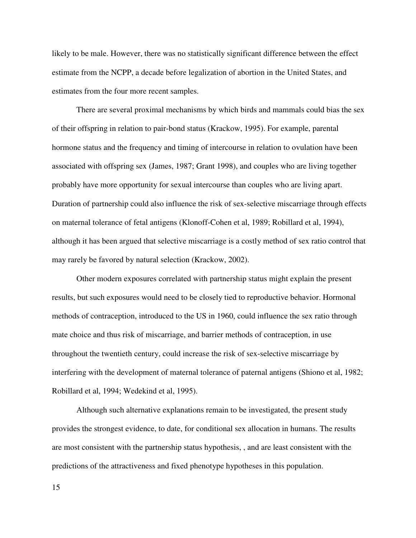likely to be male. However, there was no statistically significant difference between the effect estimate from the NCPP, a decade before legalization of abortion in the United States, and estimates from the four more recent samples.

There are several proximal mechanisms by which birds and mammals could bias the sex of their offspring in relation to pair-bond status (Krackow, 1995). For example, parental hormone status and the frequency and timing of intercourse in relation to ovulation have been associated with offspring sex (James, 1987; Grant 1998), and couples who are living together probably have more opportunity for sexual intercourse than couples who are living apart. Duration of partnership could also influence the risk of sex-selective miscarriage through effects on maternal tolerance of fetal antigens (Klonoff-Cohen et al, 1989; Robillard et al, 1994), although it has been argued that selective miscarriage is a costly method of sex ratio control that may rarely be favored by natural selection (Krackow, 2002).

Other modern exposures correlated with partnership status might explain the present results, but such exposures would need to be closely tied to reproductive behavior. Hormonal methods of contraception, introduced to the US in 1960, could influence the sex ratio through mate choice and thus risk of miscarriage, and barrier methods of contraception, in use throughout the twentieth century, could increase the risk of sex-selective miscarriage by interfering with the development of maternal tolerance of paternal antigens (Shiono et al, 1982; Robillard et al, 1994; Wedekind et al, 1995).

Although such alternative explanations remain to be investigated, the present study provides the strongest evidence, to date, for conditional sex allocation in humans. The results are most consistent with the partnership status hypothesis, , and are least consistent with the predictions of the attractiveness and fixed phenotype hypotheses in this population.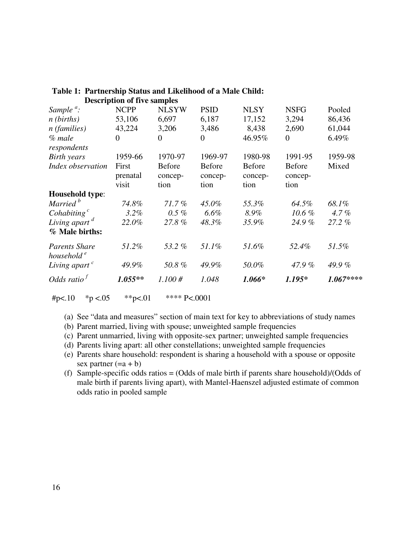|                                                | Description of five samples |              |               |               |               |           |
|------------------------------------------------|-----------------------------|--------------|---------------|---------------|---------------|-----------|
| Sample $a$ :                                   | <b>NCPP</b>                 | <b>NLSYW</b> | <b>PSID</b>   | <b>NLSY</b>   | <b>NSFG</b>   | Pooled    |
| $n$ (births)                                   | 53,106                      | 6,697        | 6,187         | 17,152        | 3,294         | 86,436    |
| $n$ (families)                                 | 43,224                      | 3,206        | 3,486         | 8,438         | 2,690         | 61,044    |
| $%$ male                                       | $\overline{0}$              | $\Omega$     | $\Omega$      | 46.95%        | $\theta$      | 6.49%     |
| respondents                                    |                             |              |               |               |               |           |
| <b>Birth</b> years                             | 1959-66                     | 1970-97      | 1969-97       | 1980-98       | 1991-95       | 1959-98   |
| Index observation                              | First                       | Before       | <b>Before</b> | <b>Before</b> | <b>Before</b> | Mixed     |
|                                                | prenatal                    | concep-      | concep-       | concep-       | concep-       |           |
|                                                | visit                       | tion         | tion          | tion          | tion          |           |
| Household type:                                |                             |              |               |               |               |           |
| Married <sup>b</sup>                           | 74.8%                       | $71.7\%$     | $45.0\%$      | 55.3%         | 64.5%         | 68.1%     |
| Cohabiting $^c$                                | 3.2%                        | $0.5\%$      | $6.6\%$       | 8.9%          | $10.6\%$      | 4.7%      |
| Living apart $d$                               | 22.0%                       | 27.8%        | 48.3%         | 35.9%         | 24.9%         | 27.2%     |
| % Male births:                                 |                             |              |               |               |               |           |
| <b>Parents Share</b><br>household <sup>e</sup> | 51.2%                       | 53.2%        | 51.1%         | 51.6%         | 52.4%         | 51.5%     |
| Living apart $c$                               | 49.9%                       | 50.8%        | 49.9%         | 50.0%         | 47.9%         | 49.9%     |
| Odds ratio $^f$                                | $1.055**$                   | 1.100#       | 1.048         | $1.066*$      | $1.195*$      | 1.067**** |
|                                                |                             |              |               |               |               |           |

### **Table 1: Partnership Status and Likelihood of a Male Child: Description of five samples**

#p<.10  $\ast$  p <.05  $\ast$   $\ast$  p <.01  $\ast$   $\ast$   $\ast$  P <.0001

(a) See "data and measures" section of main text for key to abbreviations of study names

- (b) Parent married, living with spouse; unweighted sample frequencies
- (c) Parent unmarried, living with opposite-sex partner; unweighted sample frequencies
- (d) Parents living apart: all other constellations; unweighted sample frequencies
- (e) Parents share household: respondent is sharing a household with a spouse or opposite sex partner  $(=a + b)$
- (f) Sample-specific odds ratios = (Odds of male birth if parents share household)/(Odds of male birth if parents living apart), with Mantel-Haenszel adjusted estimate of common odds ratio in pooled sample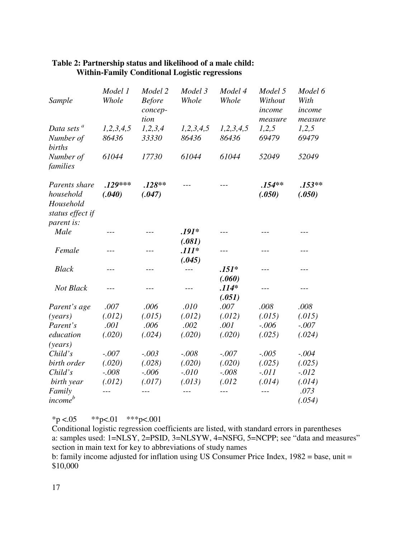| Sample                                                      | Model 1<br>Whole    | Model 2<br><b>Before</b><br>concep-<br>tion | Model 3<br>Whole            | Model 4<br>Whole  | Model 5<br>Without<br>income<br>measure | Model 6<br>With<br>income<br>measure |
|-------------------------------------------------------------|---------------------|---------------------------------------------|-----------------------------|-------------------|-----------------------------------------|--------------------------------------|
| Data sets <sup>a</sup>                                      | 1, 2, 3, 4, 5       | 1,2,3,4                                     | 1,2,3,4,5                   | 1, 2, 3, 4, 5     | 1,2,5                                   | 1,2,5                                |
| Number of<br>births                                         | 86436               | 33330                                       | 86436                       | 86436             | 69479                                   | 69479                                |
| Number of<br>families                                       | 61044               | 17730                                       | 61044                       | 61044             | 52049                                   | 52049                                |
| Parents share<br>household<br>Household<br>status effect if | $.129***$<br>(.040) | $.128**$<br>(.047)                          |                             |                   | $.154**$<br>(.050)                      | $.153**$<br>(.050)                   |
| parent is:                                                  |                     |                                             |                             |                   |                                         |                                      |
| Male                                                        |                     |                                             | $.191*$                     | $- - -$           | $- - -$                                 | $- - -$                              |
| Female                                                      | $- - -$             | $- - -$                                     | (.081)<br>$.111*$<br>(.045) | $- - -$           | ---                                     | ---                                  |
| <b>Black</b>                                                | $---$               | ---                                         | ---                         | $.151*$           | ---                                     | ---                                  |
|                                                             |                     |                                             |                             | (.060)            |                                         |                                      |
| Not Black                                                   | $- - -$             |                                             | ---                         | $.114*$<br>(.051) | $---$                                   | ---                                  |
| Parent's age                                                | .007                | .006                                        | .010                        | .007              | .008                                    | .008                                 |
| (years)                                                     | (.012)              | (.015)                                      | (.012)                      | (.012)            | (.015)                                  | (.015)                               |
| Parent's                                                    | .001                | .006                                        | .002                        | .001              | $-.006$                                 | $-.007$                              |
| education<br>(years)                                        | (.020)              | (.024)                                      | (.020)                      | (.020)            | (.025)                                  | (.024)                               |
| Child's                                                     | $-.007$             | $-.003$                                     | $-.008$                     | $-.007$           | $-.005$                                 | $-.004$                              |
| birth order                                                 | (.020)              | (.028)                                      | (.020)                      | (.020)            | (.025)                                  | (.025)                               |
| Child's                                                     | $-.008$             | $-.006$                                     | $-.010$                     | $-.008$           | $-.011$                                 | $-.012$                              |
| birth year                                                  | (.012)              | (.017)                                      | (.013)                      | (.012)            | (.014)                                  | (.014)                               |
| Family<br>income <sup>b</sup>                               |                     | $---$                                       |                             | $---$             | $---$                                   | .073<br>(.054)                       |

## **Table 2: Partnership status and likelihood of a male child: Within-Family Conditional Logistic regressions**

 $*p < .05$  \*\*p<.01 \*\*\*p<.001

Conditional logistic regression coefficients are listed, with standard errors in parentheses a: samples used: 1=NLSY, 2=PSID, 3=NLSYW, 4=NSFG, 5=NCPP; see "data and measures" section in main text for key to abbreviations of study names

b: family income adjusted for inflation using US Consumer Price Index, 1982 = base, unit = \$10,000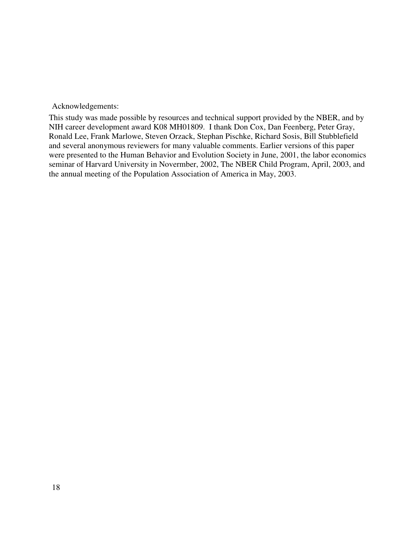Acknowledgements:

This study was made possible by resources and technical support provided by the NBER, and by NIH career development award K08 MH01809. I thank Don Cox, Dan Feenberg, Peter Gray, Ronald Lee, Frank Marlowe, Steven Orzack, Stephan Pischke, Richard Sosis, Bill Stubblefield and several anonymous reviewers for many valuable comments. Earlier versions of this paper were presented to the Human Behavior and Evolution Society in June, 2001, the labor economics seminar of Harvard University in Novermber, 2002, The NBER Child Program, April, 2003, and the annual meeting of the Population Association of America in May, 2003.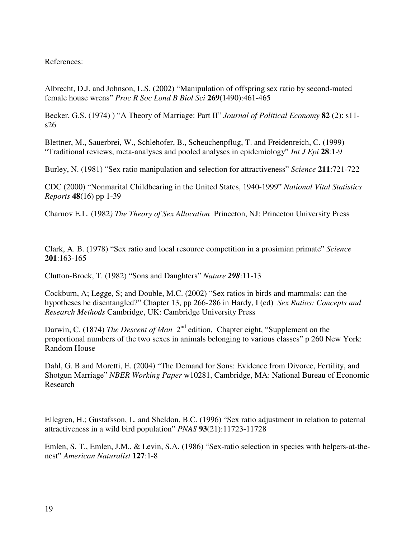# References:

Albrecht, D.J. and Johnson, L.S. (2002) "Manipulation of offspring sex ratio by second-mated female house wrens" *Proc R Soc Lond B Biol Sci* **269**(1490):461-465

Becker, G.S. (1974) ) "A Theory of Marriage: Part II" *Journal of Political Economy* **82** (2): s11 s26

Blettner, M., Sauerbrei, W., Schlehofer, B., Scheuchenpflug, T. and Freidenreich, C. (1999) "Traditional reviews, meta-analyses and pooled analyses in epidemiology" *Int J Epi* **28**:1-9

Burley, N. (1981) "Sex ratio manipulation and selection for attractiveness" *Science* **211**:721-722

CDC (2000) "Nonmarital Childbearing in the United States, 1940-1999" *National Vital Statistics Reports* **48**(16) pp 1-39

Charnov E.L. (1982*) The Theory of Sex Allocation* Princeton, NJ: Princeton University Press

Clark, A. B. (1978) "Sex ratio and local resource competition in a prosimian primate" *Science* **201**:163-165

Clutton-Brock, T. (1982) "Sons and Daughters" *Nature 298*:11-13

Cockburn, A; Legge, S; and Double, M.C. (2002) "Sex ratios in birds and mammals: can the hypotheses be disentangled?" Chapter 13, pp 266-286 in Hardy, I (ed) *Sex Ratios: Concepts and Research Methods* Cambridge, UK: Cambridge University Press

Darwin, C. (1874) *The Descent of Man* 2<sup>nd</sup> edition, Chapter eight, "Supplement on the proportional numbers of the two sexes in animals belonging to various classes" p 260 New York: Random House

Dahl, G. B.and Moretti, E. (2004) "The Demand for Sons: Evidence from Divorce, Fertility, and Shotgun Marriage" *NBER Working Paper* w10281, Cambridge, MA: National Bureau of Economic Research

Ellegren, H.; Gustafsson, L. and Sheldon, B.C. (1996) "Sex ratio adjustment in relation to paternal attractiveness in a wild bird population" *PNAS* **93**(21):11723-11728

Emlen, S. T., Emlen, J.M., & Levin, S.A. (1986) "Sex-ratio selection in species with helpers-at-thenest" *American Naturalist* **127**:1-8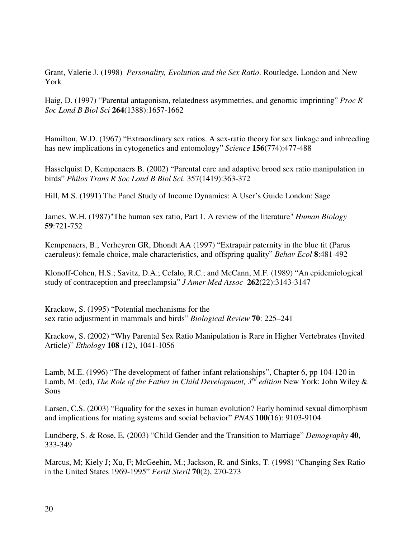Grant, Valerie J. (1998) *Personality, Evolution and the Sex Ratio*. Routledge, London and New York

Haig, D. (1997) "Parental antagonism, relatedness asymmetries, and genomic imprinting" *Proc R Soc Lond B Biol Sci* **264**(1388):1657-1662

Hamilton, W.D. (1967) "Extraordinary sex ratios. A sex-ratio theory for sex linkage and inbreeding has new implications in cytogenetics and entomology" *Science* **156**(774):477-488

Hasselquist D, Kempenaers B. (2002) "Parental care and adaptive brood sex ratio manipulation in birds" *Philos Trans R Soc Lond B Biol Sci*. 357(1419):363-372

Hill, M.S. (1991) The Panel Study of Income Dynamics: A User's Guide London: Sage

James, W.H. (1987)"The human sex ratio, Part 1. A review of the literature" *Human Biology* **59**:721-752

Kempenaers, B., Verheyren GR, Dhondt AA (1997) "Extrapair paternity in the blue tit (Parus caeruleus): female choice, male characteristics, and offspring quality" *Behav Ecol* **8**:481-492

Klonoff-Cohen, H.S.; Savitz, D.A.; Cefalo, R.C.; and McCann, M.F. (1989) "An epidemiological study of contraception and preeclampsia" *J Amer Med Assoc* **262**(22):3143-3147

Krackow, S. (1995) "Potential mechanisms for the sex ratio adjustment in mammals and birds" *Biological Review* **70**: 225–241

Krackow, S. (2002) "Why Parental Sex Ratio Manipulation is Rare in Higher Vertebrates (Invited Article)" *Ethology* **108** (12), 1041-1056

Lamb, M.E. (1996) "The development of father-infant relationships", Chapter 6, pp 104-120 in Lamb, M. (ed), *The Role of the Father in Child Development, 3 rd edition* New York: John Wiley & Sons

Larsen, C.S. (2003) "Equality for the sexes in human evolution? Early hominid sexual dimorphism and implications for mating systems and social behavior" *PNAS* **100**(16): 9103-9104

Lundberg, S. & Rose, E. (2003) "Child Gender and the Transition to Marriage" *Demography* **40**, 333-349

Marcus, M; Kiely J; Xu, F; McGeehin, M.; Jackson, R. and Sinks, T. (1998) "Changing Sex Ratio in the United States 1969-1995" *Fertil Steril* **70**(2), 270-273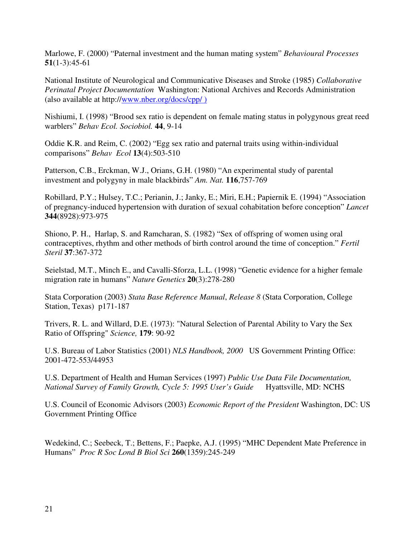Marlowe, F. (2000) "Paternal investment and the human mating system" *Behavioural Processes* **51**(1-3):45-61

National Institute of Neurological and Communicative Diseases and Stroke (1985) *Collaborative Perinatal Project Documentation* Washington: National Archives and Records Administration (also available at http://www.nber.org/docs/cpp/ )

Nishiumi, I. (1998) "Brood sex ratio is dependent on female mating status in polygynous great reed warblers" *Behav Ecol. Sociobiol.* **44**, 9-14

Oddie K.R. and Reim, C. (2002) "Egg sex ratio and paternal traits using within-individual comparisons" *Behav Ecol* **13**(4):503-510

Patterson, C.B., Erckman, W.J., Orians, G.H. (1980) "An experimental study of parental investment and polygyny in male blackbirds" *Am. Nat.* **116**,757-769

Robillard, P.Y.; Hulsey, T.C.; Perianin, J.; Janky, E.; Miri, E.H.; Papiernik E. (1994) "Association of pregnancy-induced hypertension with duration of sexual cohabitation before conception" *Lancet* **344**(8928):973-975

Shiono, P. H., Harlap, S. and Ramcharan, S. (1982) "Sex of offspring of women using oral contraceptives, rhythm and other methods of birth control around the time of conception." *Fertil Steril* **37**:367-372

Seielstad, M.T., Minch E., and Cavalli-Sforza, L.L. (1998) "Genetic evidence for a higher female migration rate in humans" *Nature Genetics* **20**(3):278-280

Stata Corporation (2003) *Stata Base Reference Manual*, *Release 8* (Stata Corporation, College Station, Texas) p171-187

Trivers, R. L. and Willard, D.E. (1973): "Natural Selection of Parental Ability to Vary the Sex Ratio of Offspring" *Science,* **179**: 90-92

U.S. Bureau of Labor Statistics (2001) *NLS Handbook, 2000* US Government Printing Office: 2001-472-553/44953

U.S. Department of Health and Human Services (1997) *Public Use Data File Documentation, National Survey of Family Growth, Cycle 5: 1995 User's Guide* Hyattsville, MD: NCHS

U.S. Council of Economic Advisors (2003) *Economic Report of the President* Washington, DC: US Government Printing Office

Wedekind, C.; Seebeck, T.; Bettens, F.; Paepke, A.J. (1995) "MHC Dependent Mate Preference in Humans" *Proc R Soc Lond B Biol Sci* **260**(1359):245-249